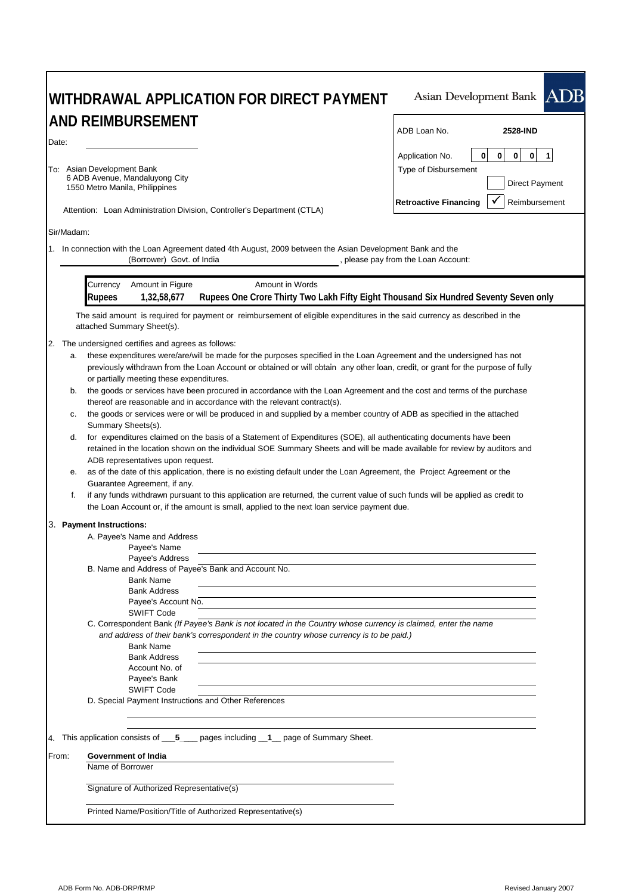| WITHDRAWAL APPLICATION FOR DIRECT PAYMENT                                                                                                                                                                                                                                                                                                                                                                                                                                                                                                                                                                                                                                                                                                                                                                                                                                                                                                                                                                                                                                                                                                                                                                                                                                                                                                                                                                                              | Asian Development Bank ADB                                                                                                                                                 |  |  |  |
|----------------------------------------------------------------------------------------------------------------------------------------------------------------------------------------------------------------------------------------------------------------------------------------------------------------------------------------------------------------------------------------------------------------------------------------------------------------------------------------------------------------------------------------------------------------------------------------------------------------------------------------------------------------------------------------------------------------------------------------------------------------------------------------------------------------------------------------------------------------------------------------------------------------------------------------------------------------------------------------------------------------------------------------------------------------------------------------------------------------------------------------------------------------------------------------------------------------------------------------------------------------------------------------------------------------------------------------------------------------------------------------------------------------------------------------|----------------------------------------------------------------------------------------------------------------------------------------------------------------------------|--|--|--|
| <b>AND REIMBURSEMENT</b>                                                                                                                                                                                                                                                                                                                                                                                                                                                                                                                                                                                                                                                                                                                                                                                                                                                                                                                                                                                                                                                                                                                                                                                                                                                                                                                                                                                                               | ADB Loan No.<br>2528-IND                                                                                                                                                   |  |  |  |
| Date:<br>To: Asian Development Bank<br>6 ADB Avenue, Mandaluyong City<br>1550 Metro Manila, Philippines<br>Attention: Loan Administration Division, Controller's Department (CTLA)                                                                                                                                                                                                                                                                                                                                                                                                                                                                                                                                                                                                                                                                                                                                                                                                                                                                                                                                                                                                                                                                                                                                                                                                                                                     | $\mathbf 0$<br>$\bf{0}$<br>$\mathbf{0}$<br>0<br>Application No.<br>$\mathbf{1}$<br>Type of Disbursement<br>Direct Payment<br><b>Retroactive Financing</b><br>Reimbursement |  |  |  |
| Sir/Madam:                                                                                                                                                                                                                                                                                                                                                                                                                                                                                                                                                                                                                                                                                                                                                                                                                                                                                                                                                                                                                                                                                                                                                                                                                                                                                                                                                                                                                             |                                                                                                                                                                            |  |  |  |
| 1. In connection with the Loan Agreement dated 4th August, 2009 between the Asian Development Bank and the<br>(Borrower) Govt. of India                                                                                                                                                                                                                                                                                                                                                                                                                                                                                                                                                                                                                                                                                                                                                                                                                                                                                                                                                                                                                                                                                                                                                                                                                                                                                                | , please pay from the Loan Account:                                                                                                                                        |  |  |  |
| Amount in Figure<br>Amount in Words<br>Currency<br>Rupees One Crore Thirty Two Lakh Fifty Eight Thousand Six Hundred Seventy Seven only<br>1,32,58,677<br><b>Rupees</b>                                                                                                                                                                                                                                                                                                                                                                                                                                                                                                                                                                                                                                                                                                                                                                                                                                                                                                                                                                                                                                                                                                                                                                                                                                                                |                                                                                                                                                                            |  |  |  |
| The said amount is required for payment or reimbursement of eligible expenditures in the said currency as described in the<br>attached Summary Sheet(s).                                                                                                                                                                                                                                                                                                                                                                                                                                                                                                                                                                                                                                                                                                                                                                                                                                                                                                                                                                                                                                                                                                                                                                                                                                                                               |                                                                                                                                                                            |  |  |  |
| 2. The undersigned certifies and agrees as follows:<br>these expenditures were/are/will be made for the purposes specified in the Loan Agreement and the undersigned has not<br>a.<br>previously withdrawn from the Loan Account or obtained or will obtain any other loan, credit, or grant for the purpose of fully<br>or partially meeting these expenditures.<br>the goods or services have been procured in accordance with the Loan Agreement and the cost and terms of the purchase<br>b.<br>thereof are reasonable and in accordance with the relevant contract(s).<br>the goods or services were or will be produced in and supplied by a member country of ADB as specified in the attached<br>с.<br>Summary Sheets(s).<br>for expenditures claimed on the basis of a Statement of Expenditures (SOE), all authenticating documents have been<br>d.<br>retained in the location shown on the individual SOE Summary Sheets and will be made available for review by auditors and<br>ADB representatives upon request.<br>as of the date of this application, there is no existing default under the Loan Agreement, the Project Agreement or the<br>е.<br>Guarantee Agreement, if any.<br>f.<br>if any funds withdrawn pursuant to this application are returned, the current value of such funds will be applied as credit to<br>the Loan Account or, if the amount is small, applied to the next loan service payment due. |                                                                                                                                                                            |  |  |  |
| 3. Payment Instructions:<br>A. Payee's Name and Address<br>Payee's Name<br>Payee's Address<br>B. Name and Address of Payee's Bank and Account No.<br><b>Bank Name</b><br><b>Bank Address</b><br>Payee's Account No.<br><b>SWIFT Code</b><br>C. Correspondent Bank (If Payee's Bank is not located in the Country whose currency is claimed, enter the name<br>and address of their bank's correspondent in the country whose currency is to be paid.)<br><b>Bank Name</b><br><b>Bank Address</b><br>Account No. of<br>Payee's Bank<br><b>SWIFT Code</b><br>D. Special Payment Instructions and Other References                                                                                                                                                                                                                                                                                                                                                                                                                                                                                                                                                                                                                                                                                                                                                                                                                        |                                                                                                                                                                            |  |  |  |
| 4. This application consists of 5 ________ pages including ___1 ___ page of Summary Sheet.                                                                                                                                                                                                                                                                                                                                                                                                                                                                                                                                                                                                                                                                                                                                                                                                                                                                                                                                                                                                                                                                                                                                                                                                                                                                                                                                             |                                                                                                                                                                            |  |  |  |
| From:<br>Government of India<br>Name of Borrower                                                                                                                                                                                                                                                                                                                                                                                                                                                                                                                                                                                                                                                                                                                                                                                                                                                                                                                                                                                                                                                                                                                                                                                                                                                                                                                                                                                       |                                                                                                                                                                            |  |  |  |
| Signature of Authorized Representative(s)                                                                                                                                                                                                                                                                                                                                                                                                                                                                                                                                                                                                                                                                                                                                                                                                                                                                                                                                                                                                                                                                                                                                                                                                                                                                                                                                                                                              |                                                                                                                                                                            |  |  |  |
| Printed Name/Position/Title of Authorized Representative(s)                                                                                                                                                                                                                                                                                                                                                                                                                                                                                                                                                                                                                                                                                                                                                                                                                                                                                                                                                                                                                                                                                                                                                                                                                                                                                                                                                                            |                                                                                                                                                                            |  |  |  |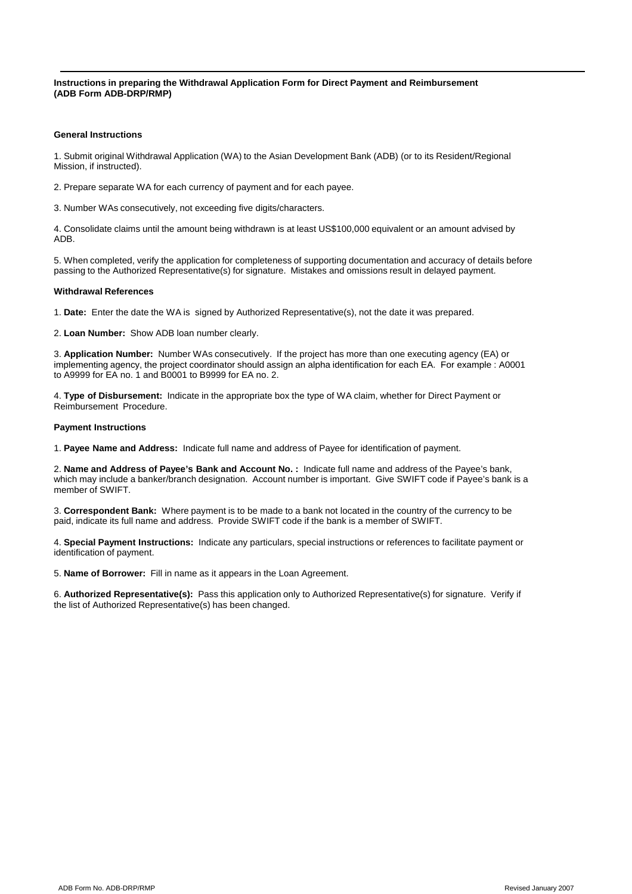**Instructions in preparing the Withdrawal Application Form for Direct Payment and Reimbursement (ADB Form ADB-DRP/RMP)**

#### **General Instructions**

1. Submit original Withdrawal Application (WA) to the Asian Development Bank (ADB) (or to its Resident/Regional Mission, if instructed).

2. Prepare separate WA for each currency of payment and for each payee.

3. Number WAs consecutively, not exceeding five digits/characters.

4. Consolidate claims until the amount being withdrawn is at least US\$100,000 equivalent or an amount advised by ADB.

5. When completed, verify the application for completeness of supporting documentation and accuracy of details before passing to the Authorized Representative(s) for signature. Mistakes and omissions result in delayed payment.

#### **Withdrawal References**

1. **Date:** Enter the date the WA is signed by Authorized Representative(s), not the date it was prepared.

2. **Loan Number:** Show ADB loan number clearly.

3. **Application Number:** Number WAs consecutively. If the project has more than one executing agency (EA) or implementing agency, the project coordinator should assign an alpha identification for each EA. For example : A0001 to A9999 for EA no. 1 and B0001 to B9999 for EA no. 2.

4. **Type of Disbursement:** Indicate in the appropriate box the type of WA claim, whether for Direct Payment or Reimbursement Procedure.

#### **Payment Instructions**

1. **Payee Name and Address:** Indicate full name and address of Payee for identification of payment.

2. **Name and Address of Payee's Bank and Account No. :** Indicate full name and address of the Payee's bank, which may include a banker/branch designation. Account number is important. Give SWIFT code if Payee's bank is a member of SWIFT.

3. **Correspondent Bank:** Where payment is to be made to a bank not located in the country of the currency to be paid, indicate its full name and address. Provide SWIFT code if the bank is a member of SWIFT.

4. **Special Payment Instructions:** Indicate any particulars, special instructions or references to facilitate payment or identification of payment.

5. **Name of Borrower:** Fill in name as it appears in the Loan Agreement.

6. **Authorized Representative(s):** Pass this application only to Authorized Representative(s) for signature. Verify if the list of Authorized Representative(s) has been changed.